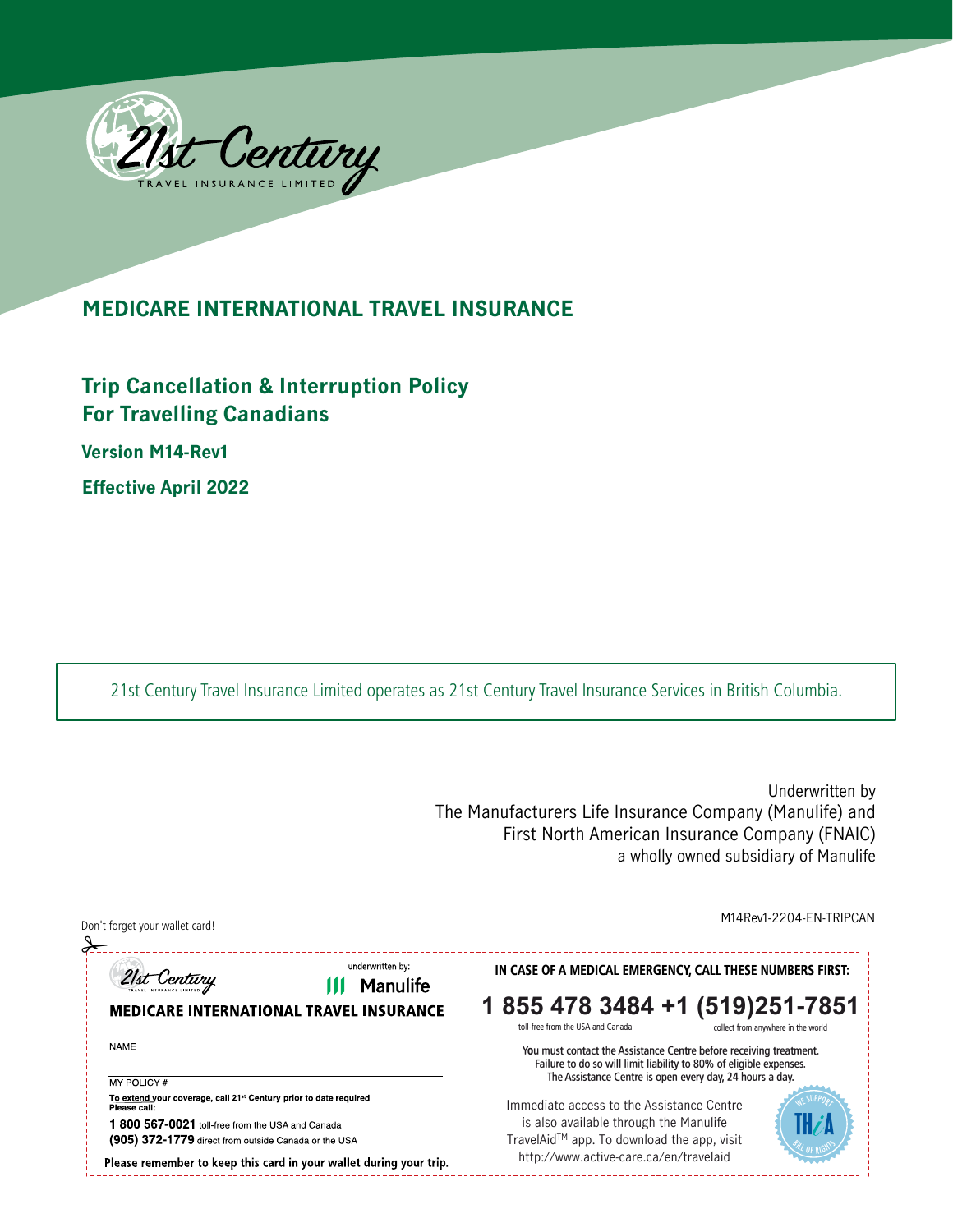

## **MEDICARE INTERNATIONAL TRAVEL INSURANCE**

## **Trip Cancellation & Interruption Policy For Travelling Canadians**

**Version M14-Rev1** 

**Effective April 2022**

21st Century Travel Insurance Limited operates as 21st Century Travel Insurance Services in British Columbia.

Underwritten by The Manufacturers Life Insurance Company (Manulife) and First North American Insurance Company (FNAIC) a wholly owned subsidiary of Manulife

Don't forget your wallet card! M14Rev1-2204-EN-TRIPCAN ✁underwritten by: IN CASE OF A MEDICAL EMERGENCY, CALL THESE NUMBERS FIRST: 21st Century **111 Manulife 1 855 478 3484 +1 (519)251 -7851**<br>toll-free from the USA and Canada<br>cliect from anwhere in the world **MEDICARE INTERNATIONAL TRAVEL INSURANCE** toll-free from the USA and Canada  $NAME$ You must contact the Assistance Centre before receiving treatment. Failure to do so will limit liability to 80% of eligible expenses. The Assistance Centre is open every day, 24 hours a day. **MY POLICY#** To extend your coverage, call 21<sup>st</sup> Century prior to date required.<br>Please call: WE SUPPORT Immediate access to the Assistance Centre is also available through the Manulife 1 800 567-0021 toll-free from the USA and Canada TravelAidTM app. To download the app, visit (905) 372-1779 direct from outside Canada or the USA LL OF RIGHT http://www.active-care.ca/en/travelaid Please remember to keep this card in your wallet during your trip.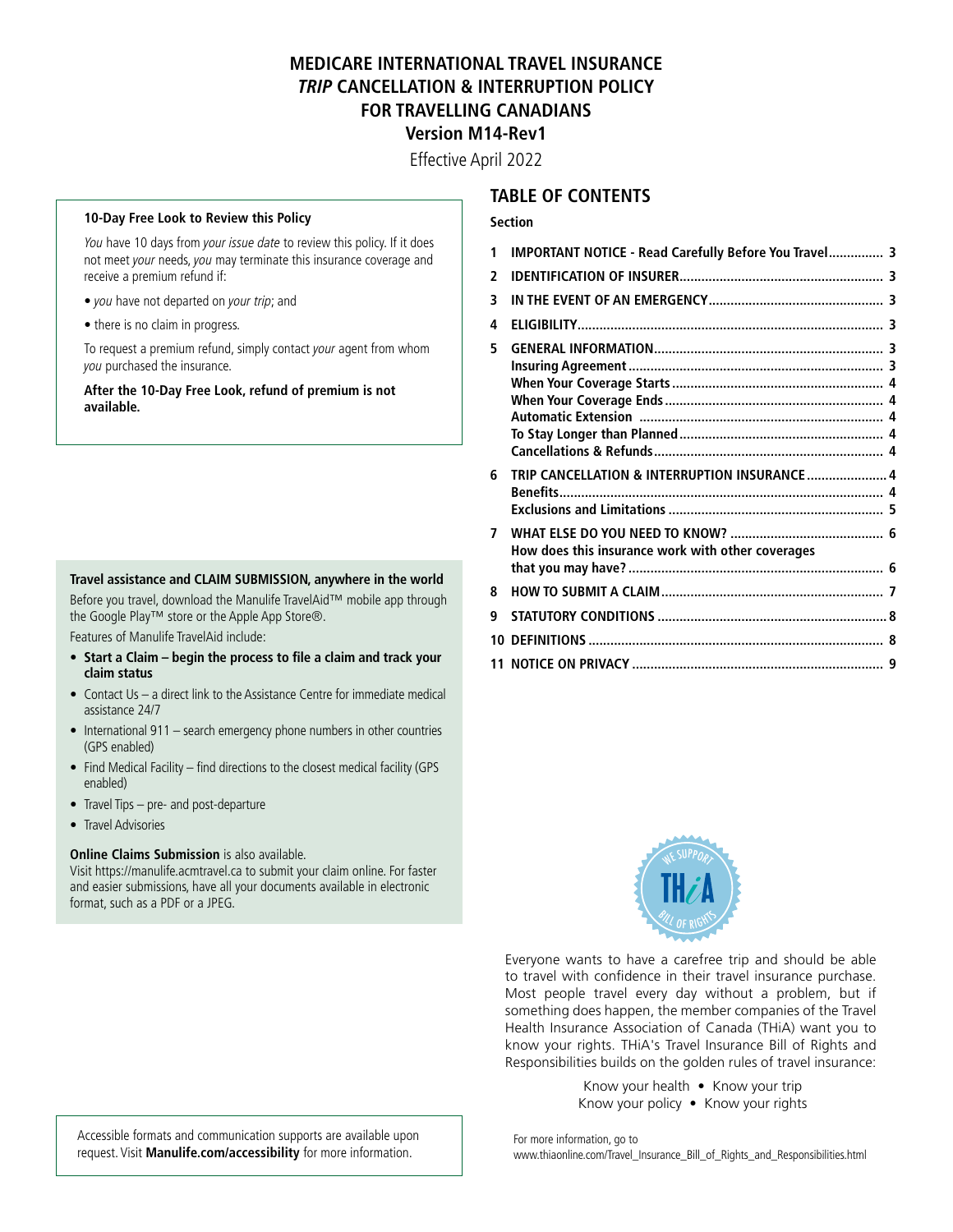## **MEDICARE INTERNATIONAL TRAVEL INSURANCE TRIP CANCELLATION & INTERRUPTION POLICY FOR TRAVELLING CANADIANS Version M14-Rev1**

Effective April 2022

#### **10-Day Free Look to Review this Policy**

You have 10 days from your issue date to review this policy. If it does not meet your needs, you may terminate this insurance coverage and receive a premium refund if:

- you have not departed on your trip; and
- there is no claim in progress.

To request a premium refund, simply contact your agent from whom you purchased the insurance.

**After the 10-Day Free Look, refund of premium is not available.** 

#### **Travel assistance and CLAIM SUBMISSION, anywhere in the world**

Before you travel, download the Manulife TravelAid™ mobile app through the Google Play™ store or the Apple App Store®.

Features of Manulife TravelAid include:

- **Start a Claim begin the process to fle a claim and track your claim status**
- Contact Us a direct link to the Assistance Centre for immediate medical assistance 24/7
- International 911 search emergency phone numbers in other countries (GPS enabled)
- Find Medical Facility find directions to the closest medical facility (GPS enabled)
- Travel Tips pre- and post-departure
- Travel Advisories

#### **Online Claims Submission** is also available.

Visit<https://manulife.acmtravel.ca>to submit your claim online. For faster and easier submissions, have all your documents available in electronic format, such as a PDF or a JPEG.

### **TABLE OF CONTENTS**

#### **Section**

| 1  | <b>IMPORTANT NOTICE - Read Carefully Before You Travel 3</b> |   |
|----|--------------------------------------------------------------|---|
| 2  |                                                              |   |
| 3  |                                                              |   |
| 4  |                                                              |   |
| 5  |                                                              |   |
|    |                                                              |   |
|    |                                                              |   |
|    |                                                              |   |
| 6  | TRIP CANCELLATION & INTERRUPTION INSURANCE  4                |   |
|    |                                                              |   |
| 7  | How does this insurance work with other coverages            |   |
|    |                                                              |   |
| 8  |                                                              |   |
| q  |                                                              |   |
| 10 |                                                              | 8 |



Everyone wants to have a carefree trip and should be able to travel with confidence in their travel insurance purchase. Most people travel every day without a problem, but if something does happen, the member companies of the Travel Health Insurance Association of Canada (THiA) want you to know your rights. THiA's Travel Insurance Bill of Rights and Responsibilities builds on the golden rules of travel insurance:

> Know your health • Know your trip Know your policy • Know your rights

Accessible formats and communication supports are available upon request. Visit **[Manulife.com/accessibility](https://Manulife.com/accessibility)** for more information.

For more information, go to [www.thiaonline.com/Travel\\_Insurance\\_Bill\\_of\\_Rights\\_and\\_Responsibilities.html](www.thiaonline.com/Travel_Insurance_Bill_of_Rights_and_Responsibilities.html)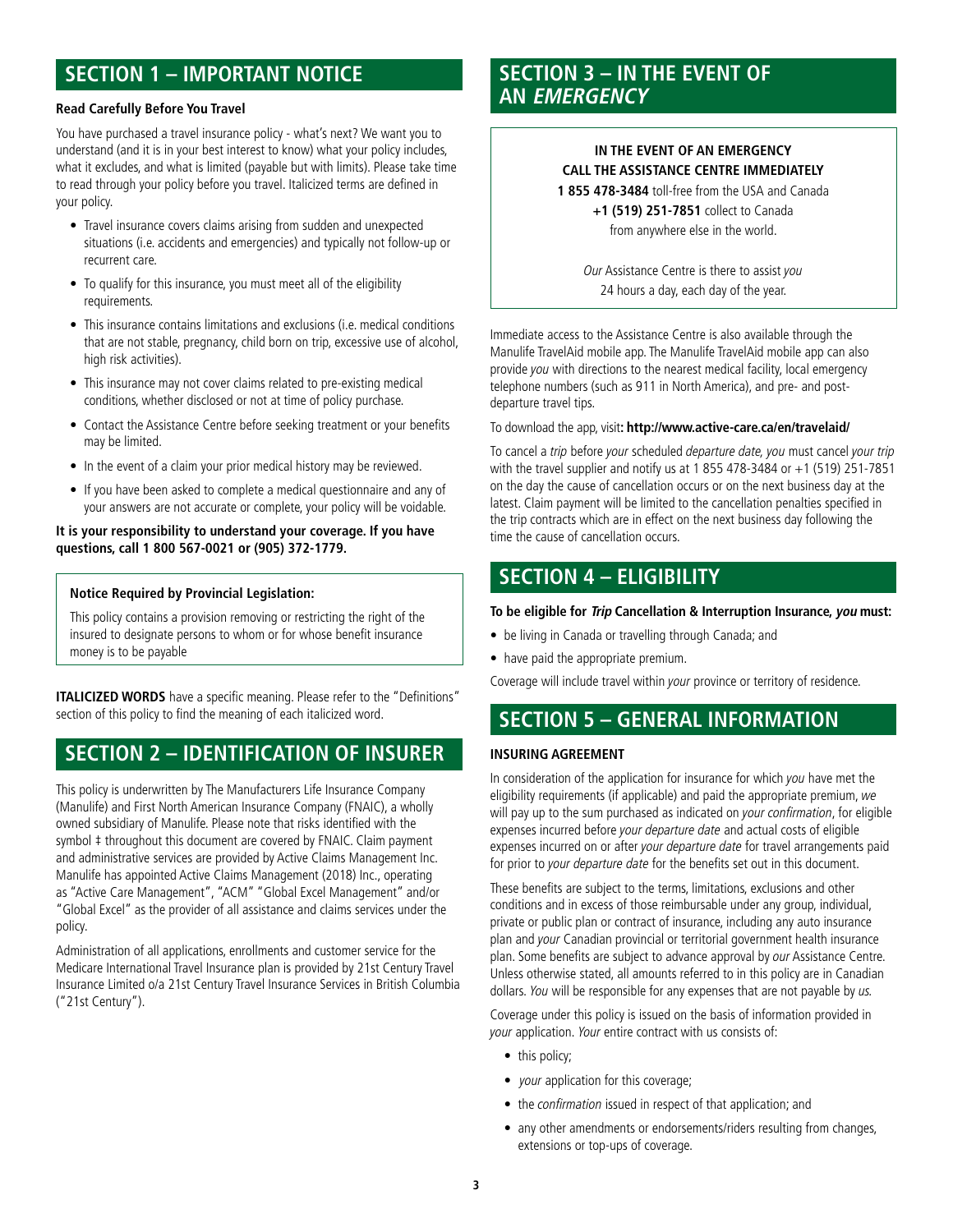#### **Read Carefully Before You Travel**

You have purchased a travel insurance policy - what's next? We want you to understand (and it is in your best interest to know) what your policy includes, what it excludes, and what is limited (payable but with limits). Please take time to read through your policy before you travel. Italicized terms are defned in your policy.

- Travel insurance covers claims arising from sudden and unexpected situations (i.e. accidents and emergencies) and typically not follow-up or recurrent care.
- To qualify for this insurance, you must meet all of the eligibility requirements.
- This insurance contains limitations and exclusions (i.e. medical conditions that are not stable, pregnancy, child born on trip, excessive use of alcohol, high risk activities).
- This insurance may not cover claims related to pre-existing medical conditions, whether disclosed or not at time of policy purchase.
- Contact the Assistance Centre before seeking treatment or your benefits may be limited.
- In the event of a claim your prior medical history may be reviewed.
- If you have been asked to complete a medical questionnaire and any of your answers are not accurate or complete, your policy will be voidable.

#### **It is your responsibility to understand your coverage. If you have questions, call 1 800 567-0021 or (905) 372-1779.**

#### **Notice Required by Provincial Legislation:**

This policy contains a provision removing or restricting the right of the insured to designate persons to whom or for whose benefit insurance money is to be payable

**ITALICIZED WORDS** have a specific meaning. Please refer to the "Definitions" section of this policy to find the meaning of each italicized word.

## **SECTION 2 – IDENTIFICATION OF INSURER**

 as "Active Care Management", "ACM" "Global Excel Management" and/or This policy is underwritten by The Manufacturers Life Insurance Company (Manulife) and First North American Insurance Company (FNAIC), a wholly owned subsidiary of Manulife. Please note that risks identified with the symbol  $\ddagger$  throughout this document are covered by FNAIC. Claim payment and administrative services are provided by Active Claims Management Inc. Manulife has appointed Active Claims Management (2018) Inc., operating "Global Excel" as the provider of all assistance and claims services under the policy.

Administration of all applications, enrollments and customer service for the Medicare International Travel Insurance plan is provided by 21st Century Travel Insurance Limited o/a 21st Century Travel Insurance Services in British Columbia ("21st Century").

# **SECTION 1 – IMPORTANT NOTICE SECTION 3 – IN THE EVENT OF AN EMERGENCY**

### **IN THE EVENT OF AN EMERGENCY CALL THE ASSISTANCE CENTRE IMMEDIATELY**

**1 855 478-3484** toll-free from the USA and Canada

**+1 (519) 251-7851** collect to Canada from anywhere else in the world.

Our Assistance Centre is there to assist you 24 hours a day, each day of the year.

Immediate access to the Assistance Centre is also available through the Manulife TravelAid mobile app. The Manulife TravelAid mobile app can also provide you with directions to the nearest medical facility, local emergency telephone numbers (such as 911 in North America), and pre- and postdeparture travel tips.

#### To download the app, visit**: [http://www.active-care.ca/en/travelaid/](http://www.active-care.ca/en/travelaid)**

To cancel a trip before your scheduled departure date, you must cancel your trip with the travel supplier and notify us at 1 855 478-3484 or +1 (519) 251-7851 on the day the cause of cancellation occurs or on the next business day at the latest. Claim payment will be limited to the cancellation penalties specifed in the trip contracts which are in effect on the next business day following the time the cause of cancellation occurs.

## **SECTION 4 – ELIGIBILITY**

#### **To be eligible for Trip Cancellation & Interruption Insurance, you must:**

- be living in Canada or travelling through Canada; and
- have paid the appropriate premium.

Coverage will include travel within your province or territory of residence.

## **SECTION 5 – GENERAL INFORMATION**

#### **INSURING AGREEMENT**

 eligibility requirements (if applicable) and paid the appropriate premium, we In consideration of the application for insurance for which you have met the will pay up to the sum purchased as indicated on your confirmation, for eligible expenses incurred before your departure date and actual costs of eligible expenses incurred on or after your departure date for travel arrangements paid for prior to your departure date for the benefits set out in this document.

These benefits are subject to the terms, limitations, exclusions and other conditions and in excess of those reimbursable under any group, individual, private or public plan or contract of insurance, including any auto insurance plan and your Canadian provincial or territorial government health insurance plan. Some benefits are subject to advance approval by our Assistance Centre. Unless otherwise stated, all amounts referred to in this policy are in Canadian dollars. You will be responsible for any expenses that are not payable by us.

Coverage under this policy is issued on the basis of information provided in your application. Your entire contract with us consists of:

- this policy;
- *your* application for this coverage;
- the confirmation issued in respect of that application; and
- any other amendments or endorsements/riders resulting from changes, extensions or top-ups of coverage.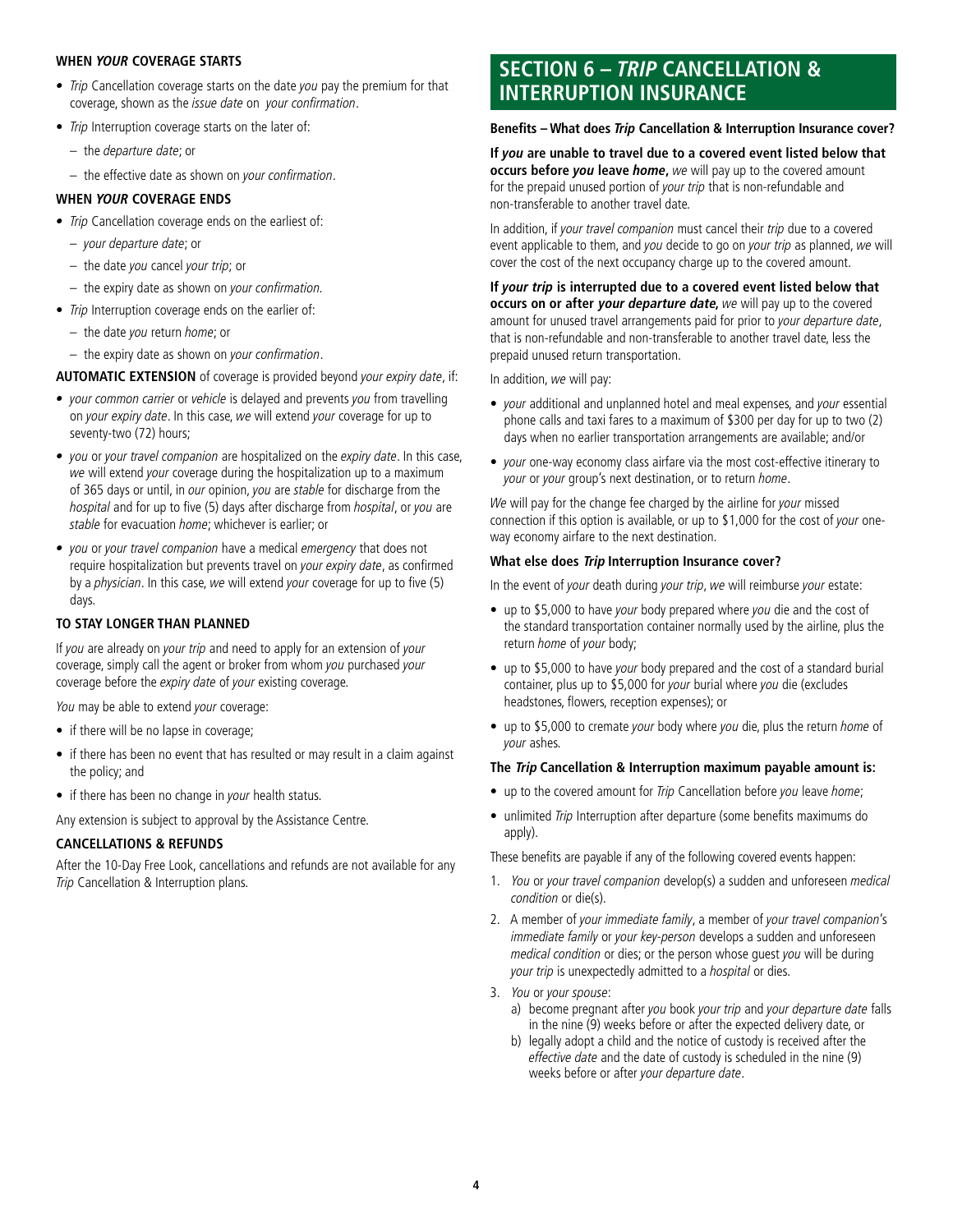#### **WHEN YOUR COVERAGE STARTS**

- Trip Cancellation coverage starts on the date you pay the premium for that coverage, shown as the issue date on your confrmation.
- Trip Interruption coverage starts on the later of:
	- the departure date; or
	- the effective date as shown on your confrmation.
- **WHEN YOUR COVERAGE ENDS**
- Trip Cancellation coverage ends on the earliest of:
	- your departure date; or
	- the date you cancel your trip; or
	- $-$  the expiry date as shown on your confirmation.
- Trip Interruption coverage ends on the earlier of:
	- the date you return home; or
	- the expiry date as shown on your confrmation.

**AUTOMATIC EXTENSION** of coverage is provided beyond your expiry date, if:

- *your common carrier* or vehicle is delayed and prevents you from travelling on your expiry date. In this case, we will extend your coverage for up to seventy-two (72) hours;
- you or your travel companion are hospitalized on the expiry date. In this case, we will extend your coverage during the hospitalization up to a maximum of 365 days or until, in our opinion, you are stable for discharge from the hospital and for up to five (5) days after discharge from hospital, or you are stable for evacuation home; whichever is earlier; or
- you or your travel companion have a medical emergency that does not require hospitalization but prevents travel on *your expiry date*, as confirmed by a physician. In this case, we will extend your coverage for up to five (5) days.

#### **TO STAY LONGER THAN PLANNED**

If you are already on your trip and need to apply for an extension of your coverage, simply call the agent or broker from whom you purchased your coverage before the expiry date of your existing coverage.

You may be able to extend your coverage:

- if there will be no lapse in coverage;
- if there has been no event that has resulted or may result in a claim against the policy; and
- if there has been no change in your health status.

Any extension is subject to approval by the Assistance Centre.

#### **CANCELLATIONS & REFUNDS**

After the 10-Day Free Look, cancellations and refunds are not available for any Trip Cancellation & Interruption plans.

## **SECTION 6 – TRIP CANCELLATION & INTERRUPTION INSURANCE**

#### **Benefts – What does Trip Cancellation & Interruption Insurance cover?**

**If you are unable to travel due to a covered event listed below that occurs before you leave home,** we will pay up to the covered amount for the prepaid unused portion of your trip that is non-refundable and non-transferable to another travel date.

In addition, if your travel companion must cancel their trip due to a covered event applicable to them, and you decide to go on your trip as planned, we will cover the cost of the next occupancy charge up to the covered amount.

amount for unused travel arrangements paid for prior to your departure date, **If your trip is interrupted due to a covered event listed below that occurs on or after your departure date,** we will pay up to the covered that is non-refundable and non-transferable to another travel date, less the prepaid unused return transportation.

In addition, we will pay:

- your additional and unplanned hotel and meal expenses, and your essential phone calls and taxi fares to a maximum of \$300 per day for up to two (2) days when no earlier transportation arrangements are available; and/or
- your one-way economy class airfare via the most cost-effective itinerary to your or your group's next destination, or to return home.

We will pay for the change fee charged by the airline for your missed connection if this option is available, or up to \$1,000 for the cost of your oneway economy airfare to the next destination.

#### **What else does Trip Interruption Insurance cover?**

In the event of your death during your trip, we will reimburse your estate:

- up to \$5,000 to have your body prepared where you die and the cost of the standard transportation container normally used by the airline, plus the return home of your body;
- up to \$5,000 to have your body prepared and the cost of a standard burial container, plus up to \$5,000 for your burial where you die (excludes headstones, flowers, reception expenses); or
- up to \$5,000 to cremate your body where you die, plus the return home of your ashes.

#### **The Trip Cancellation & Interruption maximum payable amount is:**

- up to the covered amount for *Trip* Cancellation before you leave home;
- unlimited *Trip* Interruption after departure (some benefits maximums do apply).

These benefits are payable if any of the following covered events happen:

- 1. You or your travel companion develop(s) a sudden and unforeseen medical condition or die(s).
- 2. A member of your immediate family, a member of your travel companion's immediate family or your key-person develops a sudden and unforeseen medical condition or dies; or the person whose guest you will be during your trip is unexpectedly admitted to a hospital or dies.
- 3. You or your spouse:
	- a) become pregnant after you book your trip and your departure date falls in the nine (9) weeks before or after the expected delivery date, or
	- weeks before or after your departure date. b) legally adopt a child and the notice of custody is received after the effective date and the date of custody is scheduled in the nine (9)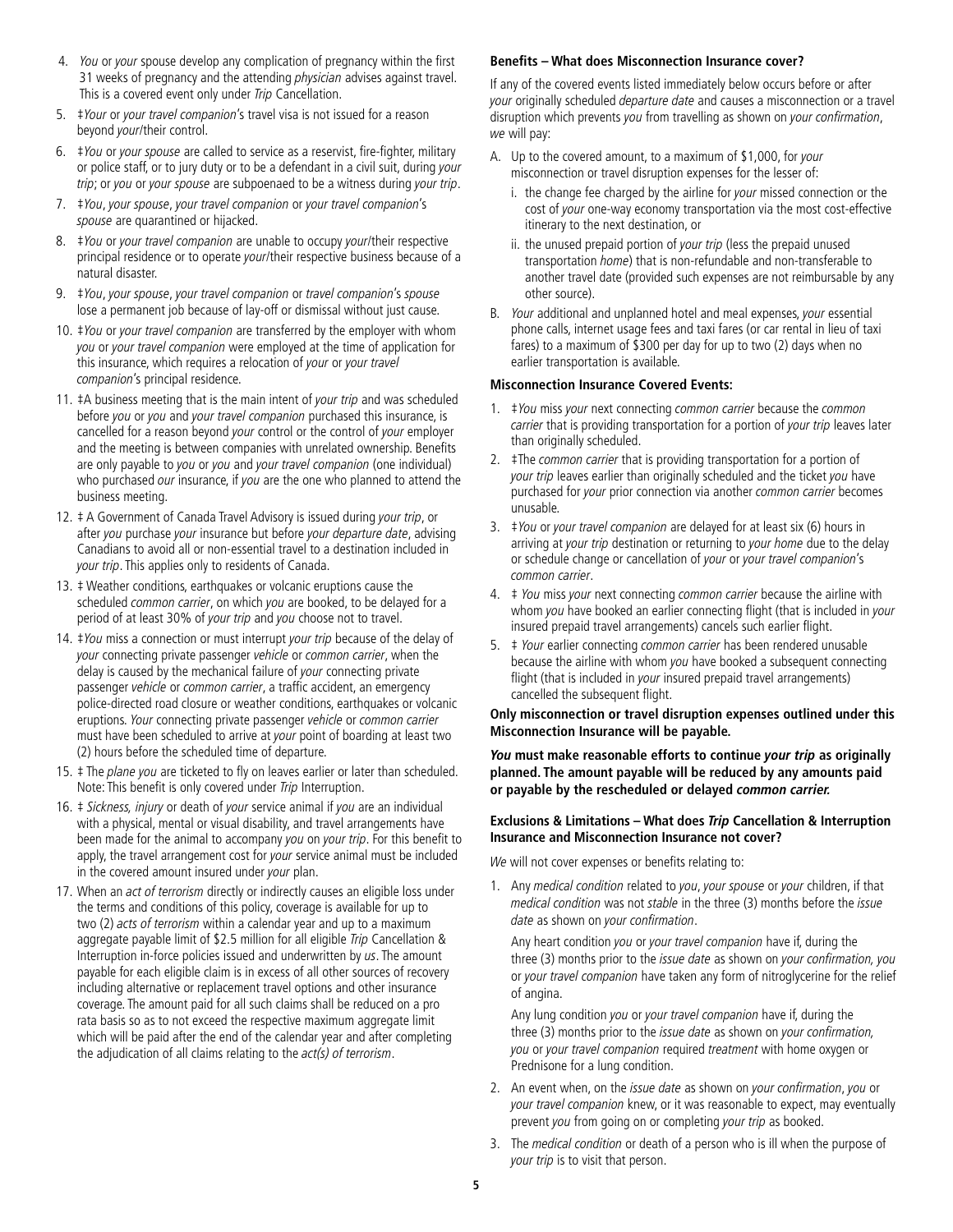- 4. You or your spouse develop any complication of pregnancy within the first 31 weeks of pregnancy and the attending *physician* advises against travel. This is a covered event only under Trip Cancellation.
- 5. ‡Your or your travel companion's travel visa is not issued for a reason beyond your/their control.
- 6. ‡You or your spouse are called to service as a reservist, fre-fghter, military or police staff, or to jury duty or to be a defendant in a civil suit, during your trip; or you or your spouse are subpoenaed to be a witness during your trip.
- 7. ‡You, your spouse, your travel companion or your travel companion's spouse are quarantined or hijacked.
- 8. *‡You or your travel companion* are unable to occupy your/their respective principal residence or to operate your/their respective business because of a natural disaster.
- 9. ‡You, your spouse, your travel companion or travel companion's spouse lose a permanent job because of lay-off or dismissal without just cause.
- 10. #You or your travel companion are transferred by the employer with whom you or your travel companion were employed at the time of application for this insurance, which requires a relocation of your or your travel companion's principal residence.
- before you or you and your travel companion purchased this insurance, is are only payable to *you* or *you* and *your travel companion* (one individual) 11. #A business meeting that is the main intent of your trip and was scheduled cancelled for a reason beyond your control or the control of your employer and the meeting is between companies with unrelated ownership. Benefits who purchased our insurance, if you are the one who planned to attend the business meeting.
- after you purchase your insurance but before your departure date, advising your trip. This applies only to residents of Canada. 12. ‡ A Government of Canada Travel Advisory is issued during your trip, or Canadians to avoid all or non-essential travel to a destination included in
- 13. ‡ Weather conditions, earthquakes or volcanic eruptions cause the scheduled common carrier, on which you are booked, to be delayed for a period of at least 30% of your trip and you choose not to travel.
- 14. #You miss a connection or must interrupt your trip because of the delay of your connecting private passenger vehicle or common carrier, when the delay is caused by the mechanical failure of your connecting private passenger vehicle or common carrier, a traffic accident, an emergency police-directed road closure or weather conditions, earthquakes or volcanic eruptions. Your connecting private passenger vehicle or common carrier must have been scheduled to arrive at your point of boarding at least two (2) hours before the scheduled time of departure.
- 15. # The *plane you* are ticketed to fly on leaves earlier or later than scheduled. Note: This benefit is only covered under Trip Interruption.
- 16. # Sickness, injury or death of your service animal if you are an individual with a physical, mental or visual disability, and travel arrangements have been made for the animal to accompany you on your trip. For this benefit to apply, the travel arrangement cost for your service animal must be included in the covered amount insured under your plan.
- 17. When an act of terrorism directly or indirectly causes an eligible loss under the terms and conditions of this policy, coverage is available for up to two (2) acts of terrorism within a calendar year and up to a maximum aggregate payable limit of \$2.5 million for all eligible Trip Cancellation & Interruption in-force policies issued and underwritten by us. The amount payable for each eligible claim is in excess of all other sources of recovery including alternative or replacement travel options and other insurance coverage. The amount paid for all such claims shall be reduced on a pro rata basis so as to not exceed the respective maximum aggregate limit which will be paid after the end of the calendar year and after completing the adjudication of all claims relating to the act(s) of terrorism.

#### **Benefts – What does Misconnection Insurance cover?**

If any of the covered events listed immediately below occurs before or after your originally scheduled departure date and causes a misconnection or a travel disruption which prevents you from travelling as shown on your confirmation, we will pay:

- A. Up to the covered amount, to a maximum of \$1,000, for your misconnection or travel disruption expenses for the lesser of:
	- i. the change fee charged by the airline for *your* missed connection or the cost of your one-way economy transportation via the most cost-effective itinerary to the next destination, or
	- ii. the unused prepaid portion of *your trip* (less the prepaid unused transportation home) that is non-refundable and non-transferable to another travel date (provided such expenses are not reimbursable by any other source).
- B. Your additional and unplanned hotel and meal expenses, your essential phone calls, internet usage fees and taxi fares (or car rental in lieu of taxi fares) to a maximum of \$300 per day for up to two (2) days when no earlier transportation is available.

#### **Misconnection Insurance Covered Events:**

- 1. #You miss your next connecting common carrier because the common carrier that is providing transportation for a portion of your trip leaves later than originally scheduled.
- 2.  $\pm$ The *common carrier* that is providing transportation for a portion of your trip leaves earlier than originally scheduled and the ticket you have purchased for your prior connection via another common carrier becomes unusable.
- 3. ‡You or your travel companion are delayed for at least six (6) hours in arriving at your trip destination or returning to your home due to the delay or schedule change or cancellation of your or your travel companion's common carrier.
- 4.  $\pm$  You miss your next connecting common carrier because the airline with whom you have booked an earlier connecting flight (that is included in your insured prepaid travel arrangements) cancels such earlier fight.
- 5. ‡ Your earlier connecting common carrier has been rendered unusable because the airline with whom you have booked a subsequent connecting flight (that is included in your insured prepaid travel arrangements) cancelled the subsequent fight.

**Only misconnection or travel disruption expenses outlined under this Misconnection Insurance will be payable.** 

**You must make reasonable efforts to continue your trip as originally planned. The amount payable will be reduced by any amounts paid or payable by the rescheduled or delayed common carrier.** 

#### **Exclusions & Limitations – What does Trip Cancellation & Interruption Insurance and Misconnection Insurance not cover?**

We will not cover expenses or benefits relating to:

1. Any medical condition related to you, your spouse or your children, if that medical condition was not stable in the three (3) months before the issue date as shown on your confirmation.

Any heart condition you or your travel companion have if, during the three (3) months prior to the issue date as shown on your confirmation, you or your travel companion have taken any form of nitroglycerine for the relief of angina.

Any lung condition you or your travel companion have if, during the three (3) months prior to the issue date as shown on your confirmation, you or your travel companion required treatment with home oxygen or Prednisone for a lung condition.

- your travel companion knew, or it was reasonable to expect, may eventually 2. An event when, on the issue date as shown on your confirmation, you or prevent you from going on or completing your trip as booked.
- 3. The medical condition or death of a person who is ill when the purpose of your trip is to visit that person.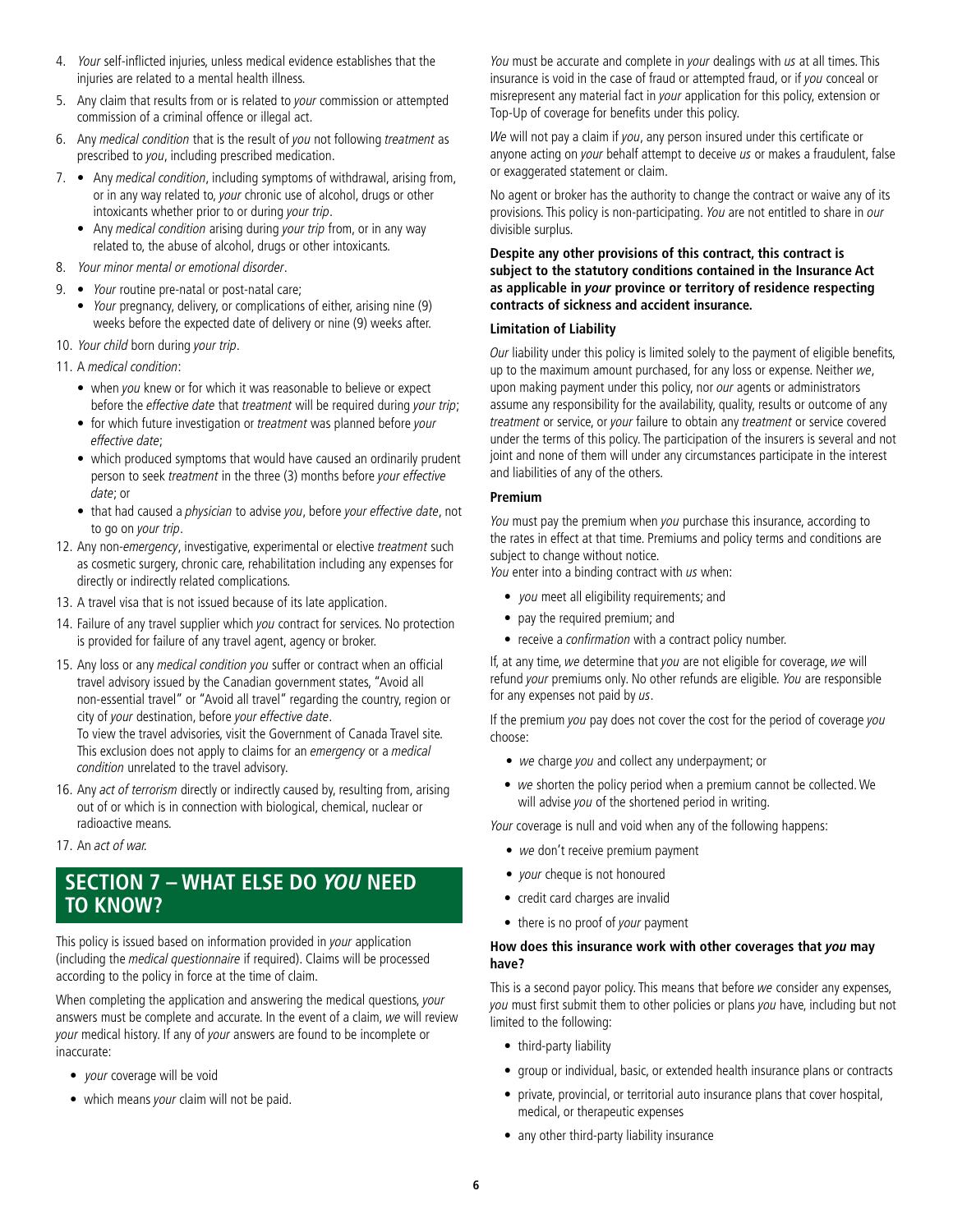- 4. Your self-inficted injuries, unless medical evidence establishes that the injuries are related to a mental health illness.
- 5. Any claim that results from or is related to your commission or attempted commission of a criminal offence or illegal act.
- 6. Any medical condition that is the result of you not following treatment as prescribed to you, including prescribed medication.
- 7. Any *medical condition*, including symptoms of withdrawal, arising from, or in any way related to, your chronic use of alcohol, drugs or other intoxicants whether prior to or during your trip.
	- Any medical condition arising during your trip from, or in any way related to, the abuse of alcohol, drugs or other intoxicants.
- 8. Your minor mental or emotional disorder.
- 9. Your routine pre-natal or post-natal care;
	- Your pregnancy, delivery, or complications of either, arising nine (9) weeks before the expected date of delivery or nine (9) weeks after.
- 10. Your child born during your trip.
- 11. A medical condition:
	- when you knew or for which it was reasonable to believe or expect before the effective date that treatment will be required during your trip;
	- for which future investigation or treatment was planned before your effective date;
	- which produced symptoms that would have caused an ordinarily prudent person to seek treatment in the three (3) months before your effective date; or
	- that had caused a physician to advise you, before your effective date, not to go on your trip.
- 12. Any non-emergency, investigative, experimental or elective treatment such as cosmetic surgery, chronic care, rehabilitation including any expenses for directly or indirectly related complications.
- 13. A travel visa that is not issued because of its late application.
- 14. Failure of any travel supplier which you contract for services. No protection is provided for failure of any travel agent, agency or broker.
- 15. Any loss or any medical condition you suffer or contract when an official travel advisory issued by the Canadian government states, "Avoid all non-essential travel" or "Avoid all travel" regarding the country, region or city of your destination, before your effective date. To view the travel advisories, visit the Government of Canada Travel site. This exclusion does not apply to claims for an emergency or a medical condition unrelated to the travel advisory.
- 16. Any act of terrorism directly or indirectly caused by, resulting from, arising out of or which is in connection with biological, chemical, nuclear or radioactive means.
- 17. An act of war.

## **SECTION 7 – WHAT ELSE DO YOU NEED TO KNOW?**

This policy is issued based on information provided in your application (including the medical questionnaire if required). Claims will be processed according to the policy in force at the time of claim.

When completing the application and answering the medical questions, your answers must be complete and accurate. In the event of a claim, we will review your medical history. If any of your answers are found to be incomplete or inaccurate:

- *your* coverage will be void
- which means your claim will not be paid.

You must be accurate and complete in your dealings with us at all times. This insurance is void in the case of fraud or attempted fraud, or if you conceal or misrepresent any material fact in your application for this policy, extension or Top-Up of coverage for benefts under this policy.

We will not pay a claim if you, any person insured under this certificate or anyone acting on your behalf attempt to deceive us or makes a fraudulent, false or exaggerated statement or claim.

No agent or broker has the authority to change the contract or waive any of its provisions. This policy is non-participating. You are not entitled to share in our divisible surplus.

#### **Despite any other provisions of this contract, this contract is subject to the statutory conditions contained in the Insurance Act as applicable in your province or territory of residence respecting contracts of sickness and accident insurance.**

#### **Limitation of Liability**

Our liability under this policy is limited solely to the payment of eligible benefits, up to the maximum amount purchased, for any loss or expense. Neither we, upon making payment under this policy, nor our agents or administrators assume any responsibility for the availability, quality, results or outcome of any treatment or service, or your failure to obtain any treatment or service covered under the terms of this policy. The participation of the insurers is several and not joint and none of them will under any circumstances participate in the interest and liabilities of any of the others.

#### **Premium**

You must pay the premium when you purchase this insurance, according to the rates in effect at that time. Premiums and policy terms and conditions are subject to change without notice.

You enter into a binding contract with us when:

- *you* meet all eligibility requirements; and
- pay the required premium; and
- receive a *confirmation* with a contract policy number.

If, at any time, we determine that you are not eligible for coverage, we will refund your premiums only. No other refunds are eligible. You are responsible for any expenses not paid by us.

If the premium you pay does not cover the cost for the period of coverage you choose:

- we charge you and collect any underpayment; or
- we shorten the policy period when a premium cannot be collected. We will advise you of the shortened period in writing.

Your coverage is null and void when any of the following happens:

- we don't receive premium payment
- *your* cheque is not honoured
- credit card charges are invalid
- there is no proof of your payment

#### **How does this insurance work with other coverages that you may have?**

This is a second payor policy. This means that before we consider any expenses, you must first submit them to other policies or plans you have, including but not limited to the following:

- third-party liability
- group or individual, basic, or extended health insurance plans or contracts
- private, provincial, or territorial auto insurance plans that cover hospital, medical, or therapeutic expenses
- any other third-party liability insurance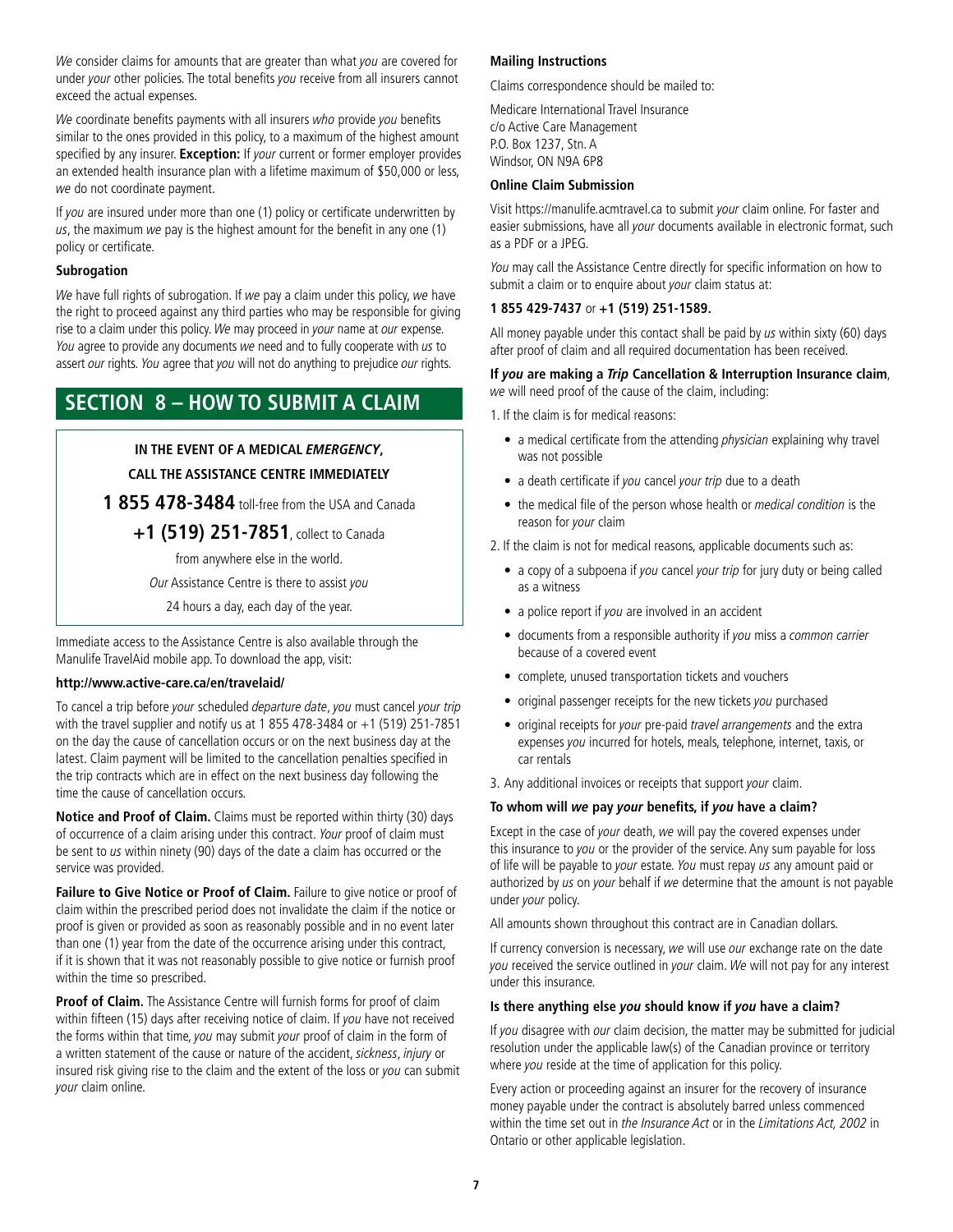We consider claims for amounts that are greater than what you are covered for under your other policies. The total benefits you receive from all insurers cannot exceed the actual expenses.

We coordinate benefits payments with all insurers who provide you benefits similar to the ones provided in this policy, to a maximum of the highest amount specified by any insurer. **Exception:** If your current or former employer provides an extended health insurance plan with a lifetime maximum of \$50,000 or less, we do not coordinate payment.

If you are insured under more than one (1) policy or certificate underwritten by  $us$ , the maximum we pay is the highest amount for the benefit in any one (1) policy or certificate.

#### **Subrogation**

We have full rights of subrogation. If we pay a claim under this policy, we have the right to proceed against any third parties who may be responsible for giving rise to a claim under this policy. We may proceed in your name at our expense. You agree to provide any documents we need and to fully cooperate with us to assert our rights. You agree that you will not do anything to prejudice our rights.

## **SECTION 8 – HOW TO SUBMIT A CLAIM**

#### **IN THE EVENT OF A MEDICAL EMERGENCY,**

#### **CALL THE ASSISTANCE CENTRE IMMEDIATELY**

**1 855 478-3484** toll-free from the USA and Canada

**+1 (519) 251-7851**, collect to Canada

from anywhere else in the world.

Our Assistance Centre is there to assist you

24 hours a day, each day of the year.

Immediate access to the Assistance Centre is also available through the Manulife TravelAid mobile app. To download the app, visit:

#### **<http://www.active-care.ca/en/travelaid>/**

To cancel a trip before your scheduled departure date, you must cancel your trip with the travel supplier and notify us at 1 855 478-3484 or  $+1$  (519) 251-7851 on the day the cause of cancellation occurs or on the next business day at the latest. Claim payment will be limited to the cancellation penalties specifed in the trip contracts which are in effect on the next business day following the time the cause of cancellation occurs.

**Notice and Proof of Claim.** Claims must be reported within thirty (30) days of occurrence of a claim arising under this contract. Your proof of claim must be sent to us within ninety (90) days of the date a claim has occurred or the service was provided.

**Failure to Give Notice or Proof of Claim.** Failure to give notice or proof of claim within the prescribed period does not invalidate the claim if the notice or proof is given or provided as soon as reasonably possible and in no event later than one (1) year from the date of the occurrence arising under this contract, if it is shown that it was not reasonably possible to give notice or furnish proof within the time so prescribed.

**Proof of Claim.** The Assistance Centre will furnish forms for proof of claim within fifteen (15) days after receiving notice of claim. If you have not received the forms within that time, you may submit your proof of claim in the form of a written statement of the cause or nature of the accident, sickness, injury or insured risk giving rise to the claim and the extent of the loss or you can submit your claim online.

#### **Mailing Instructions**

Claims correspondence should be mailed to:

Medicare International Travel Insurance c/o Active Care Management P.O. Box 1237, Stn. A Windsor, ON N9A 6P8

#### **Online Claim Submission**

Visit<https://manulife.acmtravel.ca>to submit your claim online. For faster and easier submissions, have all your documents available in electronic format, such as a PDF or a JPEG.

You may call the Assistance Centre directly for specific information on how to submit a claim or to enquire about your claim status at:

#### **1 855 429-7437** or **+1 (519) 251-1589.**

All money payable under this contact shall be paid by us within sixty (60) days after proof of claim and all required documentation has been received.

#### **If you are making a Trip Cancellation & Interruption Insurance claim**, we will need proof of the cause of the claim, including:

1. If the claim is for medical reasons:

- a medical certificate from the attending *physician* explaining why travel was not possible
- a death certificate if you cancel your trip due to a death
- the medical file of the person whose health or medical condition is the reason for your claim
- 2. If the claim is not for medical reasons, applicable documents such as:
	- a copy of a subpoena if you cancel your trip for jury duty or being called as a witness
	- a police report if you are involved in an accident
	- documents from a responsible authority if you miss a common carrier because of a covered event
	- complete, unused transportation tickets and vouchers
	- original passenger receipts for the new tickets you purchased
	- original receipts for your pre-paid travel arrangements and the extra expenses you incurred for hotels, meals, telephone, internet, taxis, or car rentals

3. Any additional invoices or receipts that support your claim.

#### **To whom will we pay your benefts, if you have a claim?**

Except in the case of your death, we will pay the covered expenses under this insurance to you or the provider of the service. Any sum payable for loss of life will be payable to your estate. You must repay us any amount paid or authorized by us on your behalf if we determine that the amount is not payable under your policy.

All amounts shown throughout this contract are in Canadian dollars.

If currency conversion is necessary, we will use our exchange rate on the date you received the service outlined in your claim. We will not pay for any interest under this insurance.

#### **Is there anything else you should know if you have a claim?**

If you disagree with our claim decision, the matter may be submitted for judicial resolution under the applicable law(s) of the Canadian province or territory where you reside at the time of application for this policy.

Every action or proceeding against an insurer for the recovery of insurance money payable under the contract is absolutely barred unless commenced within the time set out in the Insurance Act or in the Limitations Act, 2002 in Ontario or other applicable legislation.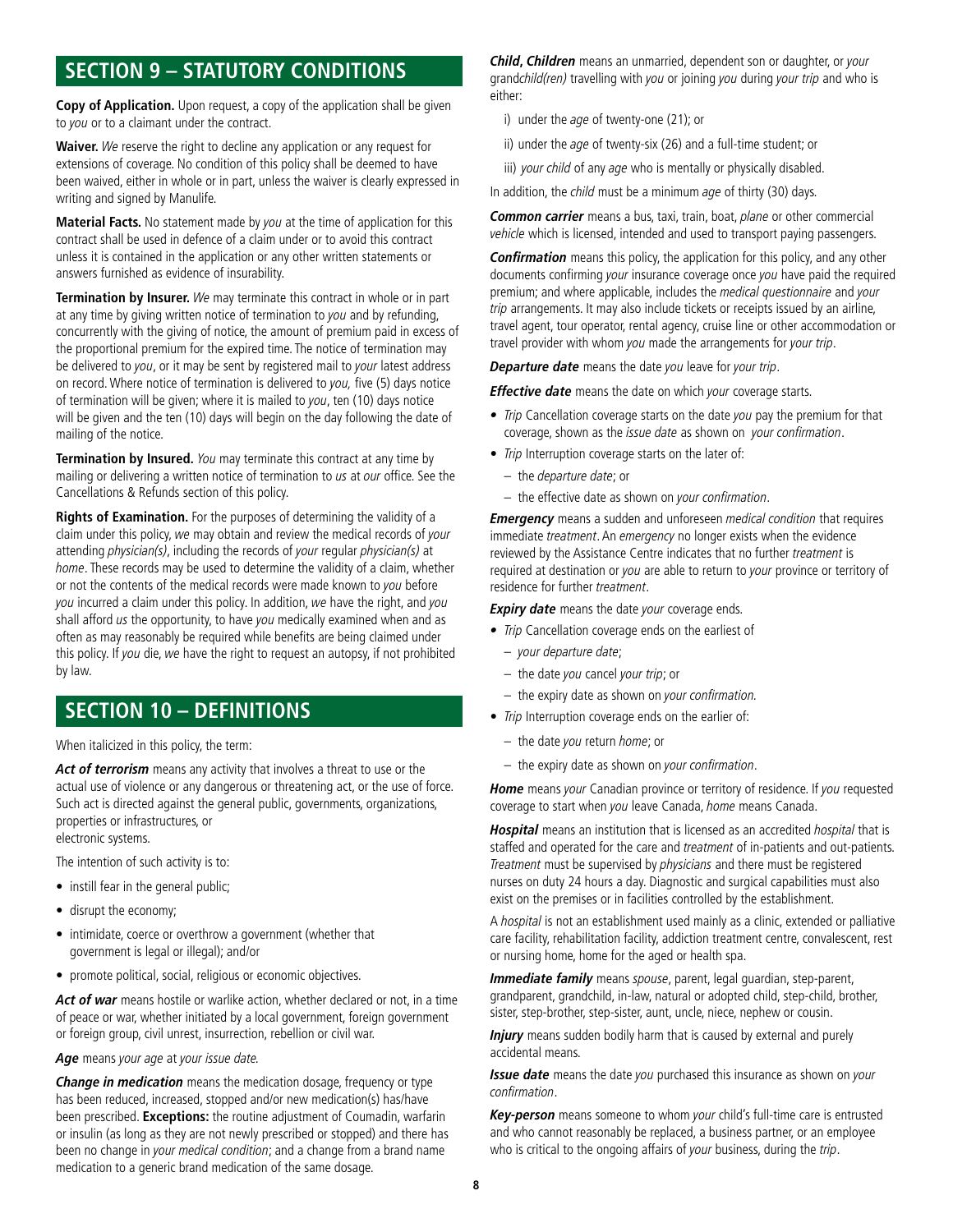## **SECTION 9 – STATUTORY CONDITIONS**

**Copy of Application.** Upon request, a copy of the application shall be given to you or to a claimant under the contract.

**Waiver.** We reserve the right to decline any application or any request for extensions of coverage. No condition of this policy shall be deemed to have been waived, either in whole or in part, unless the waiver is clearly expressed in writing and signed by Manulife.

**Material Facts.** No statement made by you at the time of application for this contract shall be used in defence of a claim under or to avoid this contract unless it is contained in the application or any other written statements or answers furnished as evidence of insurability.

**Termination by Insurer.** We may terminate this contract in whole or in part at any time by giving written notice of termination to you and by refunding, concurrently with the giving of notice, the amount of premium paid in excess of the proportional premium for the expired time. The notice of termination may be delivered to you, or it may be sent by registered mail to your latest address on record. Where notice of termination is delivered to you, five (5) days notice of termination will be given; where it is mailed to you, ten (10) days notice will be given and the ten (10) days will begin on the day following the date of mailing of the notice.

**Termination by Insured.** You may terminate this contract at any time by mailing or delivering a written notice of termination to us at our office. See the Cancellations & Refunds section of this policy.

**Rights of Examination.** For the purposes of determining the validity of a claim under this policy, we may obtain and review the medical records of your attending physician(s), including the records of your regular physician(s) at home. These records may be used to determine the validity of a claim, whether or not the contents of the medical records were made known to you before you incurred a claim under this policy. In addition, we have the right, and you shall afford us the opportunity, to have you medically examined when and as often as may reasonably be required while benefits are being claimed under this policy. If you die, we have the right to request an autopsy, if not prohibited by law.

## **SECTION 10 – DEFINITIONS**

When italicized in this policy, the term:

 **Act of terrorism** means any activity that involves a threat to use or the actual use of violence or any dangerous or threatening act, or the use of force. Such act is directed against the general public, governments, organizations, properties or infrastructures, or electronic systems.

The intention of such activity is to:

- instill fear in the general public;
- disrupt the economy;
- intimidate, coerce or overthrow a government (whether that government is legal or illegal); and/or
- promote political, social, religious or economic objectives.

 **Act of war** means hostile or warlike action, whether declared or not, in a time of peace or war, whether initiated by a local government, foreign government or foreign group, civil unrest, insurrection, rebellion or civil war.

Age means your age at your issue date.

 **Change in medication** means the medication dosage, frequency or type been no change in your medical condition; and a change from a brand name has been reduced, increased, stopped and/or new medication(s) has/have been prescribed. **Exceptions:** the routine adjustment of Coumadin, warfarin or insulin (as long as they are not newly prescribed or stopped) and there has medication to a generic brand medication of the same dosage.

**Child, Children** means an unmarried, dependent son or daughter, or your grandchild(ren) travelling with you or joining you during your trip and who is either:

- i) under the age of twenty-one (21); or
- ii) under the age of twenty-six (26) and a full-time student; or
- iii) your child of any age who is mentally or physically disabled.

In addition, the *child* must be a minimum age of thirty (30) days.

 **Common carrier** means a bus, taxi, train, boat, plane or other commercial vehicle which is licensed, intended and used to transport paying passengers.

**Confirmation** means this policy, the application for this policy, and any other documents confirming your insurance coverage once you have paid the required premium; and where applicable, includes the medical questionnaire and your trip arrangements. It may also include tickets or receipts issued by an airline, travel agent, tour operator, rental agency, cruise line or other accommodation or travel provider with whom you made the arrangements for your trip.

 **Departure date** means the date you leave for your trip.

 **Effective date** means the date on which your coverage starts.

- Trip Cancellation coverage starts on the date you pay the premium for that coverage, shown as the issue date as shown on your confirmation.
- Trip Interruption coverage starts on the later of:
	- the departure date; or
	- the effective date as shown on your confirmation.

**Emergency** means a sudden and unforeseen medical condition that requires immediate treatment. An emergency no longer exists when the evidence reviewed by the Assistance Centre indicates that no further treatment is required at destination or you are able to return to your province or territory of residence for further treatment.

 **Expiry date** means the date your coverage ends.

- Trip Cancellation coverage ends on the earliest of
	- your departure date;
	- the date you cancel your trip; or
	- $-$  the expiry date as shown on your confirmation.
- Trip Interruption coverage ends on the earlier of:
	- the date you return home; or
	- the expiry date as shown on your confrmation.

**Home** means your Canadian province or territory of residence. If you requested coverage to start when you leave Canada, home means Canada.

Hospital means an institution that is licensed as an accredited hospital that is staffed and operated for the care and treatment of in-patients and out-patients. Treatment must be supervised by physicians and there must be registered nurses on duty 24 hours a day. Diagnostic and surgical capabilities must also exist on the premises or in facilities controlled by the establishment.

A hospital is not an establishment used mainly as a clinic, extended or palliative care facility, rehabilitation facility, addiction treatment centre, convalescent, rest or nursing home, home for the aged or health spa.

 **Immediate family** means spouse, parent, legal guardian, step-parent, grandparent, grandchild, in-law, natural or adopted child, step-child, brother, sister, step-brother, step-sister, aunt, uncle, niece, nephew or cousin.

**Injury** means sudden bodily harm that is caused by external and purely accidental means.

**Issue date** means the date you purchased this insurance as shown on your confirmation.

**Key-person** means someone to whom your child's full-time care is entrusted and who cannot reasonably be replaced, a business partner, or an employee who is critical to the ongoing affairs of your business, during the trip.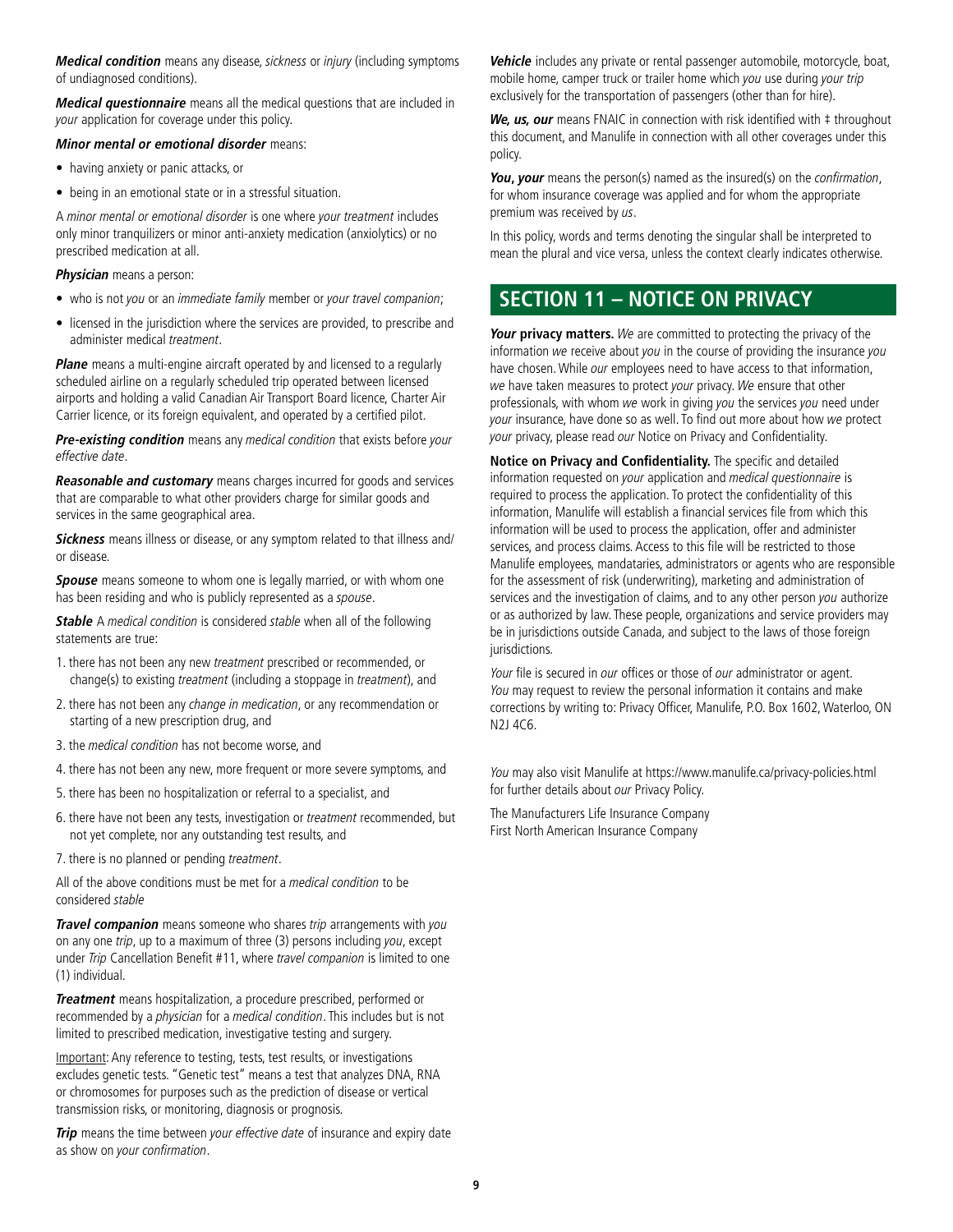**Medical condition** means any disease, sickness or injury (including symptoms of undiagnosed conditions).

**Medical questionnaire** means all the medical questions that are included in your application for coverage under this policy.

#### **Minor mental or emotional disorder** means:

- having anxiety or panic attacks, or
- being in an emotional state or in a stressful situation.

A minor mental or emotional disorder is one where your treatment includes only minor tranquilizers or minor anti-anxiety medication (anxiolytics) or no prescribed medication at all.

#### **Physician** means a person:

- who is not you or an immediate family member or your travel companion;
- licensed in the jurisdiction where the services are provided, to prescribe and administer medical treatment.

**Plane** means a multi-engine aircraft operated by and licensed to a regularly scheduled airline on a regularly scheduled trip operated between licensed airports and holding a valid Canadian Air Transport Board licence, Charter Air Carrier licence, or its foreign equivalent, and operated by a certifed pilot.

 **Pre-existing condition** means any medical condition that exists before your effective date.

 **Reasonable and customary** means charges incurred for goods and services that are comparable to what other providers charge for similar goods and services in the same geographical area.

**Sickness** means illness or disease, or any symptom related to that illness and/ or disease.

**Spouse** means someone to whom one is legally married, or with whom one has been residing and who is publicly represented as a spouse.

**Stable** A medical condition is considered stable when all of the following statements are true:

- 1. there has not been any new treatment prescribed or recommended, or change(s) to existing treatment (including a stoppage in treatment), and
- 2. there has not been any change in medication, or any recommendation or starting of a new prescription drug, and
- 3. the medical condition has not become worse, and
- 4. there has not been any new, more frequent or more severe symptoms, and
- 5. there has been no hospitalization or referral to a specialist, and
- 6. there have not been any tests, investigation or treatment recommended, but not yet complete, nor any outstanding test results, and
- 7. there is no planned or pending treatment.

All of the above conditions must be met for a medical condition to be considered stable

 **Travel companion** means someone who shares trip arrangements with you on any one trip, up to a maximum of three (3) persons including you, except under Trip Cancellation Benefit #11, where travel companion is limited to one (1) individual.

**Treatment** means hospitalization, a procedure prescribed, performed or recommended by a physician for a medical condition. This includes but is not limited to prescribed medication, investigative testing and surgery.

Important: Any reference to testing, tests, test results, or investigations excludes genetic tests. "Genetic test" means a test that analyzes DNA, RNA or chromosomes for purposes such as the prediction of disease or vertical transmission risks, or monitoring, diagnosis or prognosis.

**Trip** means the time between your effective date of insurance and expiry date as show on your confrmation.

mobile home, camper truck or trailer home which you use during your trip **Vehicle** includes any private or rental passenger automobile, motorcycle, boat, exclusively for the transportation of passengers (other than for hire).

We, us, our means FNAIC in connection with risk identified with  $\ddagger$  throughout this document, and Manulife in connection with all other coverages under this policy.

You, your means the person(s) named as the insured(s) on the confirmation, for whom insurance coverage was applied and for whom the appropriate premium was received by us.

In this policy, words and terms denoting the singular shall be interpreted to mean the plural and vice versa, unless the context clearly indicates otherwise.

## **SECTION 11 – NOTICE ON PRIVACY**

**Your privacy matters.** We are committed to protecting the privacy of the information we receive about you in the course of providing the insurance you have chosen. While our employees need to have access to that information, we have taken measures to protect your privacy. We ensure that other professionals, with whom we work in giving you the services you need under your insurance, have done so as well. To find out more about how we protect your privacy, please read our Notice on Privacy and Confidentiality.

Notice on Privacy and Confidentiality. The specific and detailed information requested on your application and medical questionnaire is required to process the application. To protect the confdentiality of this information, Manulife will establish a financial services file from which this information will be used to process the application, offer and administer services, and process claims. Access to this fle will be restricted to those Manulife employees, mandataries, administrators or agents who are responsible for the assessment of risk (underwriting), marketing and administration of services and the investigation of claims, and to any other person you authorize or as authorized by law. These people, organizations and service providers may be in jurisdictions outside Canada, and subject to the laws of those foreign jurisdictions.

Your file is secured in our offices or those of our administrator or agent. You may request to review the personal information it contains and make corrections by writing to: Privacy Officer, Manulife, P.O. Box 1602, Waterloo, ON N2J 4C6.

You may also visit Manulife at <https://www.manulife.ca/privacy-policies.html> for further details about our Privacy Policy.

The Manufacturers Life Insurance Company First North American Insurance Company